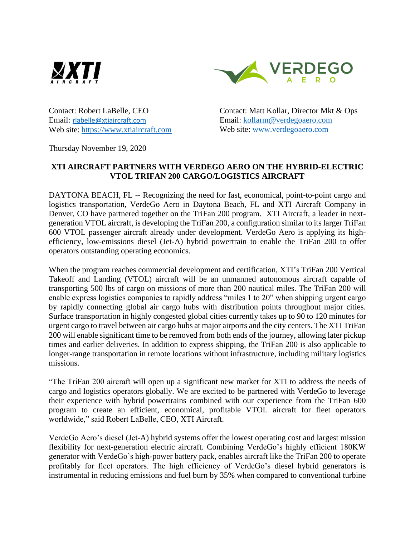



Contact: Robert LaBelle, CEO Email: [rlabelle@xtiaircraft.com](mailto:rlabelle@xtiaircraft.com) Web site: [https://www.xtiaircraft.com](https://www.xtiaircraft.com/)

Contact: Matt Kollar, Director Mkt & Ops Email: [kollarm@verdegoaero.com](mailto:kollarm@verdegoaero.com) Web site: [www.verdegoaero.com](http://www.verdegoaero.com/)

Thursday November 19, 2020

## **XTI AIRCRAFT PARTNERS WITH VERDEGO AERO ON THE HYBRID-ELECTRIC VTOL TRIFAN 200 CARGO/LOGISTICS AIRCRAFT**

DAYTONA BEACH, FL -- Recognizing the need for fast, economical, point-to-point cargo and logistics transportation, VerdeGo Aero in Daytona Beach, FL and XTI Aircraft Company in Denver, CO have partnered together on the TriFan 200 program. XTI Aircraft, a leader in nextgeneration VTOL aircraft, is developing the TriFan 200, a configuration similar to its larger TriFan 600 VTOL passenger aircraft already under development. VerdeGo Aero is applying its highefficiency, low-emissions diesel (Jet-A) hybrid powertrain to enable the TriFan 200 to offer operators outstanding operating economics.

When the program reaches commercial development and certification, XTI's TriFan 200 Vertical Takeoff and Landing (VTOL) aircraft will be an unmanned autonomous aircraft capable of transporting 500 lbs of cargo on missions of more than 200 nautical miles. The TriFan 200 will enable express logistics companies to rapidly address "miles 1 to 20" when shipping urgent cargo by rapidly connecting global air cargo hubs with distribution points throughout major cities. Surface transportation in highly congested global cities currently takes up to 90 to 120 minutes for urgent cargo to travel between air cargo hubs at major airports and the city centers. The XTI TriFan 200 will enable significant time to be removed from both ends of the journey, allowing later pickup times and earlier deliveries. In addition to express shipping, the TriFan 200 is also applicable to longer-range transportation in remote locations without infrastructure, including military logistics missions.

"The TriFan 200 aircraft will open up a significant new market for XTI to address the needs of cargo and logistics operators globally. We are excited to be partnered with VerdeGo to leverage their experience with hybrid powertrains combined with our experience from the TriFan 600 program to create an efficient, economical, profitable VTOL aircraft for fleet operators worldwide," said Robert LaBelle, CEO, XTI Aircraft.

VerdeGo Aero's diesel (Jet-A) hybrid systems offer the lowest operating cost and largest mission flexibility for next-generation electric aircraft. Combining VerdeGo's highly efficient 180KW generator with VerdeGo's high-power battery pack, enables aircraft like the TriFan 200 to operate profitably for fleet operators. The high efficiency of VerdeGo's diesel hybrid generators is instrumental in reducing emissions and fuel burn by 35% when compared to conventional turbine